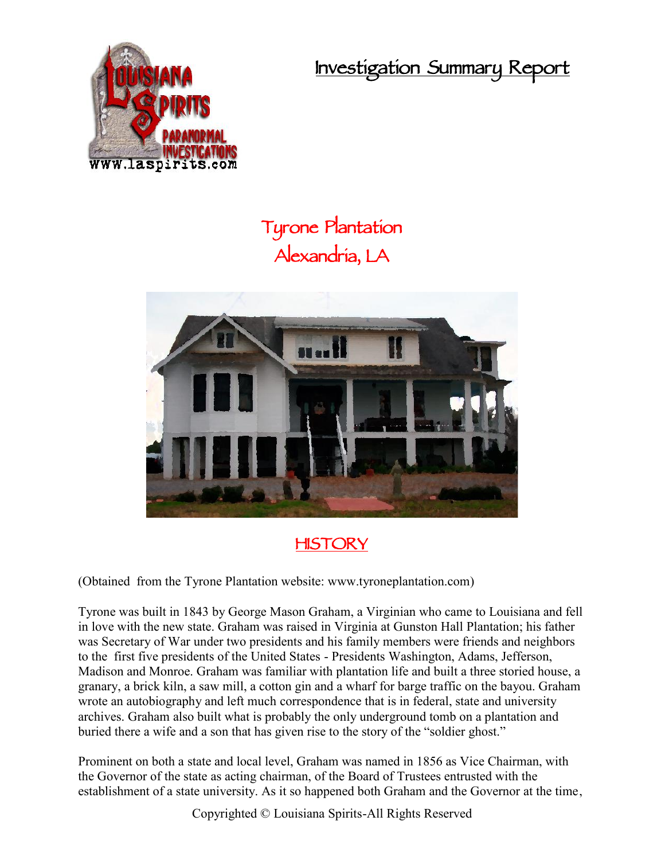**Investigation Summary Report**



## **Tyrone Plantation Alexandria, LA**



**HISTORY**

(Obtained from the Tyrone Plantation website: www.tyroneplantation.com)

Tyrone was built in 1843 by George Mason Graham, a Virginian who came to Louisiana and fell in love with the new state. Graham was raised in Virginia at Gunston Hall Plantation; his father was Secretary of War under two presidents and his family members were friends and neighbors to the first five presidents of the United States - Presidents Washington, Adams, Jefferson, Madison and Monroe. Graham was familiar with plantation life and built a three storied house, a granary, a brick kiln, a saw mill, a cotton gin and a wharf for barge traffic on the bayou. Graham wrote an autobiography and left much correspondence that is in federal, state and university archives. Graham also built what is probably the only underground tomb on a plantation and buried there a wife and a son that has given rise to the story of the "soldier ghost."

Prominent on both a state and local level, Graham was named in 1856 as Vice Chairman, with the Governor of the state as acting chairman, of the Board of Trustees entrusted with the establishment of a state university. As it so happened both Graham and the Governor at the time,

Copyrighted © Louisiana Spirits-All Rights Reserved